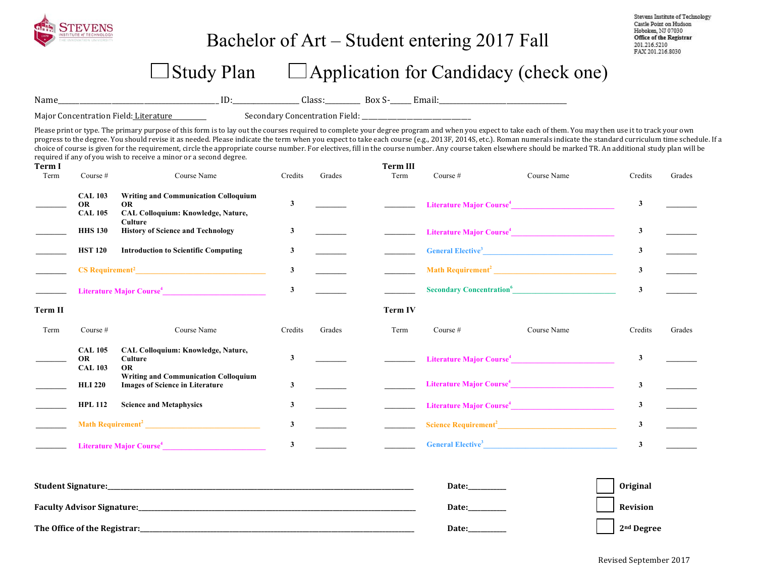

# Bachelor of Art – Student entering 2017 Fall

Stevens Institute of Technology Castle Point on Hudson Hoboken, NJ 07030 Office of the Registrar 201.216.5210 FAX 201.216.8030

# $\Box$  Study Plan  $\Box$  Application for Candidacy (check one)

Name\_\_\_\_\_\_\_\_\_\_\_\_\_\_\_\_\_\_\_\_\_\_\_\_\_\_\_\_\_\_\_\_\_\_\_\_\_\_\_\_\_\_\_\_\_ ID:\_\_\_\_\_\_\_\_\_\_\_\_\_\_\_\_\_\_\_ Class:\_\_\_\_\_\_\_\_\_\_ Box S-\_\_\_\_\_\_ Email:\_\_\_\_\_\_\_\_\_\_\_\_\_\_\_\_\_\_\_\_\_\_\_\_\_\_\_\_\_\_\_\_\_\_\_\_ 

Major Concentration Field: Literature Secondary Concentration Field: \_\_\_\_\_\_\_\_\_\_\_\_\_\_\_\_\_\_

Please print or type. The primary purpose of this form is to lay out the courses required to complete your degree program and when you expect to take each of them. You may then use it to track your own progress to the degree. You should revise it as needed. Please indicate the term when you expect to take each course (e.g., 2013F, 2014S, etc.). Roman numerals indicate the standard curriculum time schedule. If a choice of course is given for the requirement, circle the appropriate course number. For electives, fill in the course number. Any course taken elsewhere should be marked TR. An additional study plan will be required if any of you wish to receive a minor or a second degree.

| <b>Term I</b><br>Term | Course $#$                                    | Course Name                                                                                               | Credits      | Grades | <b>Term III</b><br>Term | Course #   | Course Name                                                                                                                                                                                                                                 | Credits      | Grades |
|-----------------------|-----------------------------------------------|-----------------------------------------------------------------------------------------------------------|--------------|--------|-------------------------|------------|---------------------------------------------------------------------------------------------------------------------------------------------------------------------------------------------------------------------------------------------|--------------|--------|
|                       | <b>CAL 103</b><br><b>OR</b><br><b>CAL 105</b> | <b>Writing and Communication Colloquium</b><br><b>OR</b><br>CAL Colloquium: Knowledge, Nature,<br>Culture | $\mathbf{3}$ |        |                         |            | Literature Major Course <sup>4</sup>                                                                                                                                                                                                        | $\mathbf{3}$ |        |
|                       | <b>HHS 130</b>                                | <b>History of Science and Technology</b>                                                                  | $\mathbf{3}$ |        |                         |            |                                                                                                                                                                                                                                             | $\mathbf{3}$ |        |
|                       | <b>HST 120</b>                                | <b>Introduction to Scientific Computing</b>                                                               | 3            |        |                         |            | <b>General Elective<sup>3</sup> Contract Contract Contract Contract Contract Contract Contract Contract Contract Contract Contract Contract Contract Contract Contract Contract Contract Contract Contract Contract Contract Contract C</b> | $\mathbf{3}$ |        |
|                       |                                               | $CS$ Requirement <sup>2</sup>                                                                             | 3            |        |                         |            |                                                                                                                                                                                                                                             | $\mathbf{3}$ |        |
|                       |                                               | Literature Major Course <sup>4</sup>                                                                      | $\mathbf{3}$ |        |                         |            | Secondary Concentration <sup>6</sup>                                                                                                                                                                                                        | $\mathbf{3}$ |        |
| Term II               |                                               |                                                                                                           |              |        | Term IV                 |            |                                                                                                                                                                                                                                             |              |        |
| Term                  | Course $#$                                    | Course Name                                                                                               | Credits      | Grades | Term                    | Course $#$ | Course Name                                                                                                                                                                                                                                 | Credits      | Grades |
|                       | <b>CAL 105</b><br><b>OR</b><br><b>CAL 103</b> | CAL Colloquium: Knowledge, Nature,<br>Culture<br><b>OR</b>                                                | 3            |        |                         |            | Literature Major Course <sup>4</sup>                                                                                                                                                                                                        | 3            |        |
|                       | <b>HLI 220</b>                                | <b>Writing and Communication Colloquium</b><br><b>Images of Science in Literature</b>                     | 3            |        |                         |            |                                                                                                                                                                                                                                             | $\mathbf{3}$ |        |
|                       | <b>HPL 112</b>                                | <b>Science and Metaphysics</b>                                                                            | 3            |        |                         |            | Literature Major Course <sup>4</sup> Property of the Course of the Course of the Course of the Course of the Course of the Course of the Course of the Course of the Course of the Course of the Course of the Course of the Course of t    | $\mathbf{3}$ |        |
|                       |                                               |                                                                                                           | $\mathbf{3}$ |        |                         |            |                                                                                                                                                                                                                                             | $\mathbf{3}$ |        |
|                       |                                               | Literature Major Course <sup>4</sup>                                                                      | $\mathbf{3}$ |        |                         |            | General Elective <sup>3</sup>                                                                                                                                                                                                               | $\mathbf{3}$ |        |
|                       |                                               |                                                                                                           |              |        |                         | Date:      |                                                                                                                                                                                                                                             | Original     |        |

**Faculty Advisor Signature:** Network and the settlem in the settlem in the settlem in the settlem in the settlem in the settlem in the settlem in the settlem in the settlem in the settlem in the settlem in the settlem in t

**The Office of the Registrar:\_\_\_\_\_\_\_\_\_\_\_\_\_\_\_\_\_\_\_\_\_\_\_\_\_\_\_\_\_\_\_\_\_\_\_\_\_\_\_\_\_\_\_\_\_\_\_\_\_\_\_\_\_\_\_\_\_\_\_\_\_\_\_\_\_\_\_\_\_\_\_\_\_\_\_\_\_\_\_\_\_\_\_\_\_\_ Date:\_\_\_\_\_\_\_\_\_\_\_\_ 2nd Degree**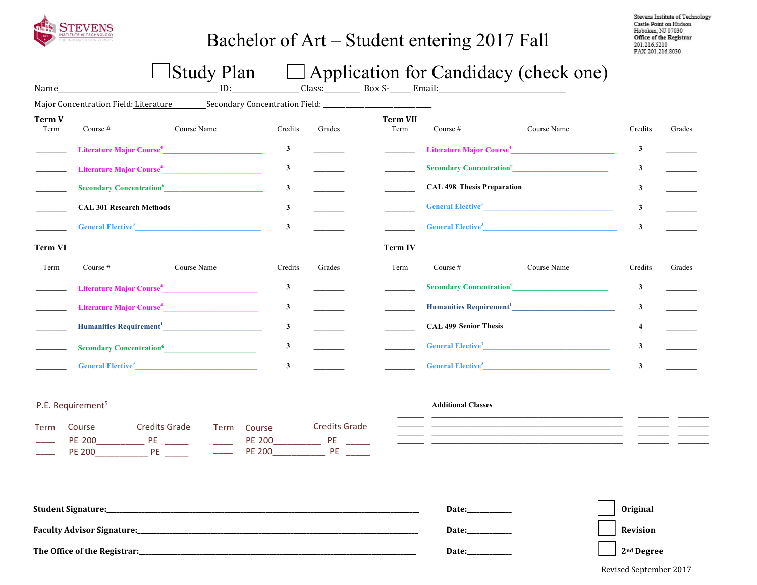

# Bachelor of Art – Student entering 2017 Fall

Stevens Institute of Technology Castle Point on Hudson Hoboken, NJ 07030 Office of the Registrar<br>201.216.5210 FAX 201.216.8030

# $\Box$  Study Plan  $\Box$  Application for Candidacy (check one)

| Name_                 |                                       | ID:         |                         |        | Class: Box S- Email:    |                                             |                                      |              |        |
|-----------------------|---------------------------------------|-------------|-------------------------|--------|-------------------------|---------------------------------------------|--------------------------------------|--------------|--------|
|                       | Major Concentration Field: Literature |             |                         |        |                         |                                             |                                      |              |        |
| <b>Term V</b><br>Term | Course #                              | Course Name | Credits                 | Grades | <b>Term VII</b><br>Term | Course $#$                                  | Course Name                          | Credits      | Grades |
|                       | Literature Major Course <sup>4</sup>  |             | 3                       |        |                         |                                             | Literature Major Course <sup>4</sup> | 3            |        |
|                       | Literature Major Course <sup>4</sup>  |             | 3                       |        |                         |                                             | Secondary Concentration <sup>6</sup> | 3            |        |
|                       | Secondary Concentration <sup>6</sup>  |             | 3                       |        |                         | <b>CAL 498 Thesis Preparation</b>           |                                      | 3            |        |
|                       | <b>CAL 301 Research Methods</b>       |             | 3                       |        |                         |                                             | General Elective <sup>3</sup>        | $\mathbf{3}$ |        |
|                       | General Elective <sup>3</sup>         |             | 3                       |        |                         |                                             | <b>General Elective<sup>3</sup></b>  | $\mathbf{3}$ |        |
| <b>Term VI</b>        |                                       |             |                         |        | <b>Term IV</b>          |                                             |                                      |              |        |
| Term                  | Course $#$                            | Course Name | Credits                 | Grades | Term                    | Course $#$                                  | Course Name                          | Credits      | Grades |
|                       | Literature Major Course <sup>4</sup>  |             | 3                       |        |                         | <b>Secondary Concentration</b> <sup>6</sup> |                                      | 3            |        |
|                       | Literature Major Course <sup>4</sup>  |             | $\overline{\mathbf{3}}$ |        |                         |                                             |                                      | 3            |        |
|                       |                                       |             | $\mathbf{3}$            |        |                         | <b>CAL 499 Senior Thesis</b>                |                                      | 4            |        |
|                       | Secondary Concentration <sup>6</sup>  |             | 3                       |        |                         |                                             | General Elective <sup>3</sup>        | 3            |        |
|                       | General Elective <sup>3</sup>         |             | 3                       |        |                         |                                             | General Elective <sup>3</sup>        | 3            |        |

### P.E. Requirement<sup>5</sup>

| Term | Course        | Credits Grade | Term Course | <b>Credits Grade</b> |
|------|---------------|---------------|-------------|----------------------|
|      | PF 200        | РF            | PF 200      |                      |
|      | <b>PF 200</b> | РF            | PF 200      | РF                   |

#### **Additional Classes**

| <b>Student Signature:</b>         | Date:        | <b>Original</b>        |
|-----------------------------------|--------------|------------------------|
| <b>Faculty Advisor Signature:</b> | <b>Date:</b> | Revision               |
| The Office of the Registrar:      | <b>Date:</b> | 2 <sup>nd</sup> Degree |